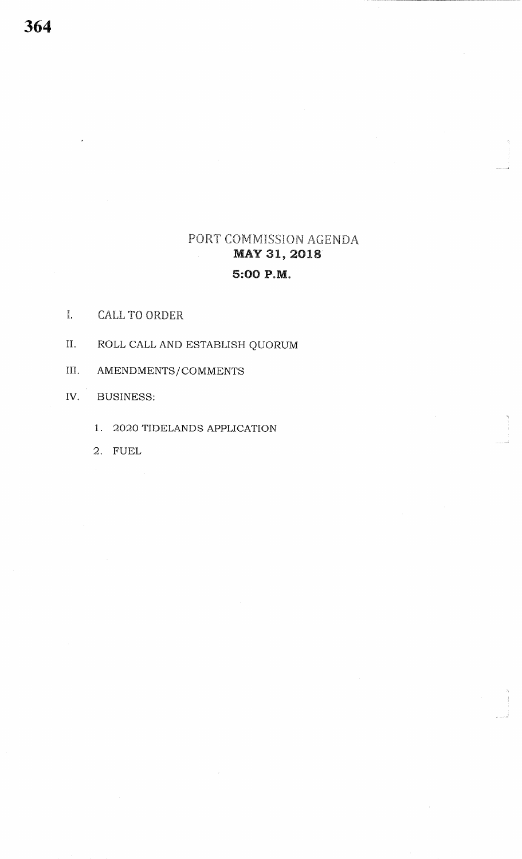# PORT COMMISSION AGENDA **MAY 31, 2018** 5:00 P.M.

- Ĭ. **CALL TO ORDER**
- ROLL CALL AND ESTABLISH QUORUM  $II.$
- III. AMENDMENTS/COMMENTS
- IV. **BUSINESS:** 
	- 1. 2020 TIDELANDS APPLICATION
	- 2. FUEL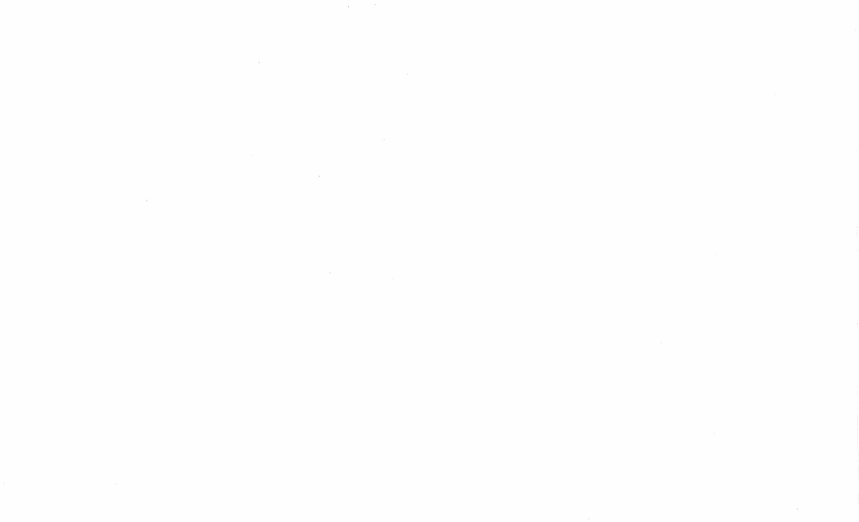$\mathcal{L}^{\mathcal{L}}(\mathcal{L}^{\mathcal{L}})$  and  $\mathcal{L}^{\mathcal{L}}(\mathcal{L}^{\mathcal{L}})$  . The contribution of

 $\mathcal{L}(\mathcal{L}(\mathcal{L}(\mathcal{L}(\mathcal{L}(\mathcal{L}(\mathcal{L}(\mathcal{L}(\mathcal{L}(\mathcal{L}(\mathcal{L}(\mathcal{L}(\mathcal{L}(\mathcal{L}(\mathcal{L}(\mathcal{L}(\mathcal{L}(\mathcal{L}(\mathcal{L}(\mathcal{L}(\mathcal{L}(\mathcal{L}(\mathcal{L}(\mathcal{L}(\mathcal{L}(\mathcal{L}(\mathcal{L}(\mathcal{L}(\mathcal{L}(\mathcal{L}(\mathcal{L}(\mathcal{L}(\mathcal{L}(\mathcal{L}(\mathcal{L}(\mathcal{L}(\mathcal{$  $\mathcal{L}(\mathcal{L}(\mathcal{L}))$  . The contract of the contract of the contract of the contract of the contract of the contract of the contract of the contract of the contract of the contract of the contract of the contract of the co

 $\mathcal{L}^{\text{max}}_{\text{max}}$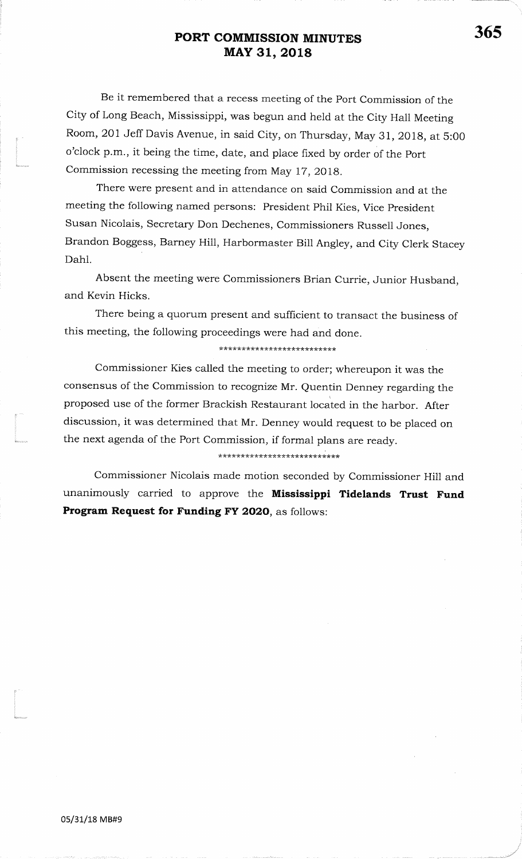Be it remembered that a recess meeting of the Port Commission of the City of Long Beach, Mississippi, was begun and held at the City Hall MeetingRoom, 201 Jeff Davis Avenue, in said City, on Thursday, May 31, 2018, at 5:00 o'clock p.m., it being the time, date, and place fixed by order of the Port Commission recessing the meeting from May \7,2019.

There were present and in attendance on said Commission and at themeeting the following named persons: President Phil Kies, Vice PresidentSusan Nicolais, Secretary Don Dechenes, Commissioners Russell Jones,Brandon Boggess, Barney Hill, Harbormaster Bill Angley, and City Clerk StaceyDahl.

Absent the meeting were Commissioners Brian Currie, Junior Husband,and Kevin Hicks.

There being a quorum present and sufficient to transact the business ofthis meeting, the following proceedings were had and done.

\*\*\*\*\*\*\*

Commissioner Kies called the meeting to order; whereupon it was theconsensus of the Commission to recognize Mr. Quentin Denney regarding theproposed use of the former Brackish Restaurant located in the harbor. Afterdiscussion, it was determined that Mr. Denney would request to be placed onthe next agenda of the Port commission, if formal plans are ready.

\*\*\*\*\*\*\*\*\*\*\*\*\*\*\*\*\*\*\*\*\*\*\*\*\*\*\*\*

Commissioner Nicolais made motion seconded by Commissioner Hill andunanimously carried to approve the Mississippi Tidelands Trust Fund Program Request for Funding FY 2020, as follows:

.<br>.<br>Watenzoona

t<br>Manazaran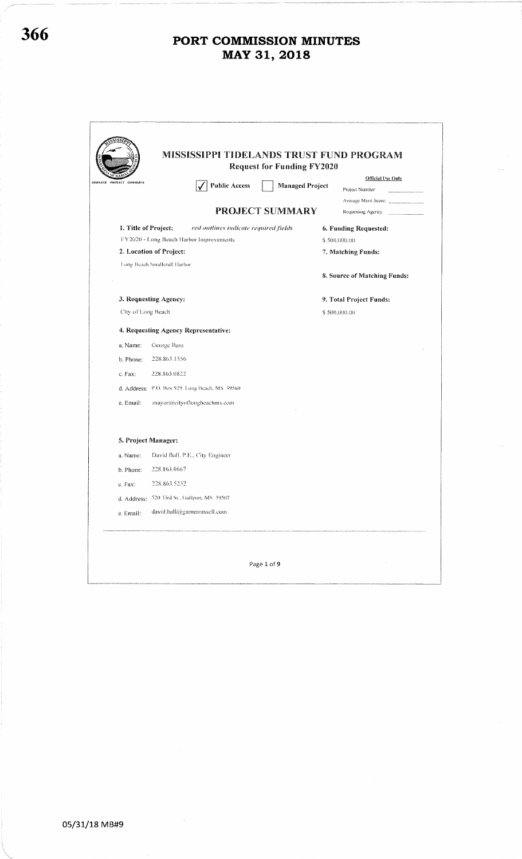|                              |                                                | <b>Request for Funding FY2020</b> | <b>Official Use Only</b>     |
|------------------------------|------------------------------------------------|-----------------------------------|------------------------------|
| PROTECT CONSERVE             | <b>Public Access</b>                           | <b>Managed Project</b>            | Project Number:              |
|                              |                                                | <b>PROJECT SUMMARY</b>            | Requesting Agency:           |
| 1. Title of Project:         | red outlines indicate required fields          |                                   | 6. Funding Requested:        |
|                              | FY2020 - Long Beach Harbor Improvements        |                                   | \$500,000.00                 |
| 2. Location of Project:      |                                                |                                   | 7. Matching Funds:           |
| Long Beach Smallcraft Harbor |                                                |                                   | 8. Source of Matching Funds: |
| 3. Requesting Agency:        |                                                |                                   | 9. Total Project Funds:      |
| City of Long Beach           |                                                |                                   | \$500,000.00                 |
|                              | 4. Requesting Agency Representative:           |                                   |                              |
| a. Name:                     | George Bass                                    |                                   |                              |
| b. Phone:                    | 228.863.1556                                   |                                   |                              |
| c. Fax:                      | 228.865.0822                                   |                                   |                              |
|                              | d. Address: P.O. Box 929. Long Beach, MS 39560 |                                   |                              |
| e. Email:                    | mayor@cityoflongbeachms.com                    |                                   |                              |
| 5. Project Manager:          |                                                |                                   |                              |
| a. Name:                     | David Ball, P.E., City Engineer                |                                   |                              |
| b. Phone:                    | 228.863.0667                                   |                                   |                              |
| c. Fax:                      | 228.863.5232                                   |                                   |                              |
|                              | d. Address: 520-33rd St., Gulfport, MS 39507   |                                   |                              |
| e. Email:                    | david.ball@garnerrussell.com                   |                                   |                              |

Page 1 of 9

366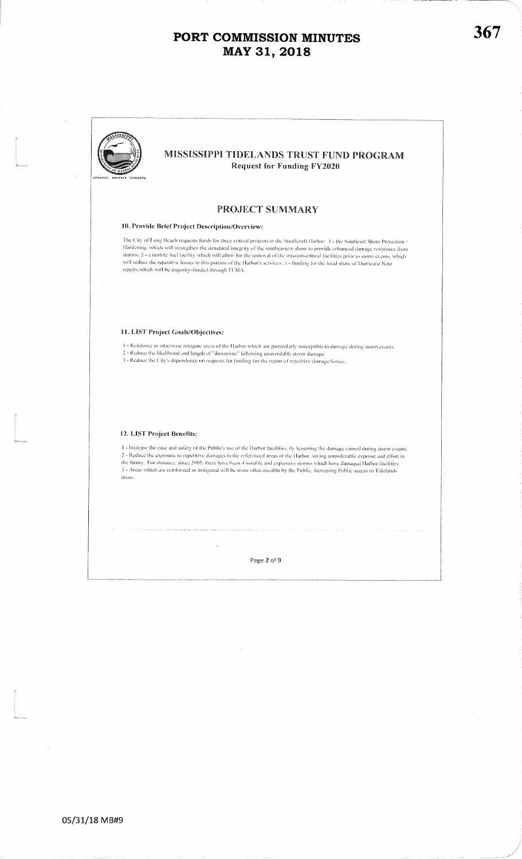

#### MISSISSIPPI TIDELANDS TRUST FUND PROGRAM **Request for Funding FY2020**

#### **PROJECT SUMMARY**

#### 10. Provide Brief Project Description/Overview:

The City of Long Beach requests funds for three critical projects in the Smalleraft Harbor: 1 - the Southeast Shore Protection / Hardening, which will strengthen the structural integrity of the southeastern shore to provide enhanced damage resistance from<br>storms: 2 - a mobile fuel facility which will allow for the removal of the mission-critical fac will reduce the repetitive losses in this portion of the Harbor's services: 3 - funding for the local share of Hurricane Nate<br>repairs which will be majority-funded through FEMA.

#### 11. LIST Project Goals/Objectives:

1 - Reinforce or otherwise mitigate areas of the Harbor which are particularly susceptible to damage during storm events.<br>2 - Reduce the likelihood and length of "downtime" following unavoidable storm damage. 3 - Reduce the City's dependence on requests for funding for the repair of repetitive damage/losses.

#### 12. LIST Project Benefits:

1 - Increase the case and safety of the Public's use of the Harbor facilities, by lessening the damage caused during storm events,<br>2 - Reduce the exposure to repetitive damages in the referenced areas of the Harbor, saving areas.

Page 2 of 9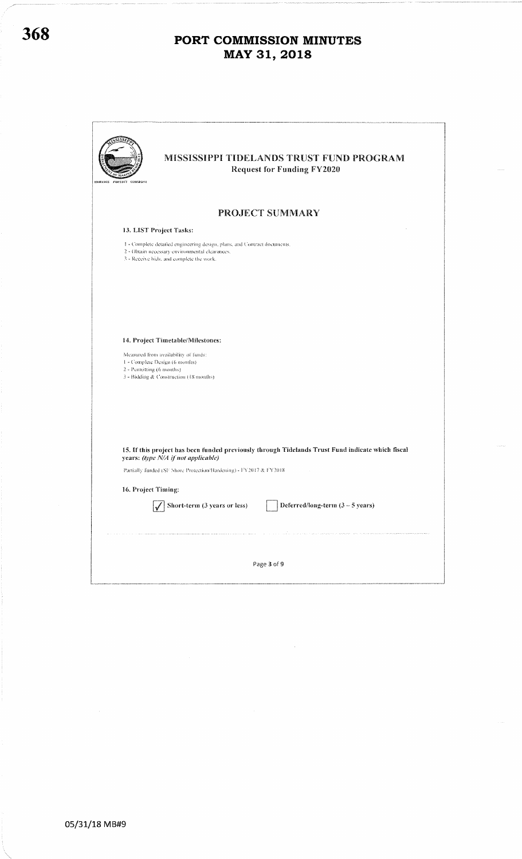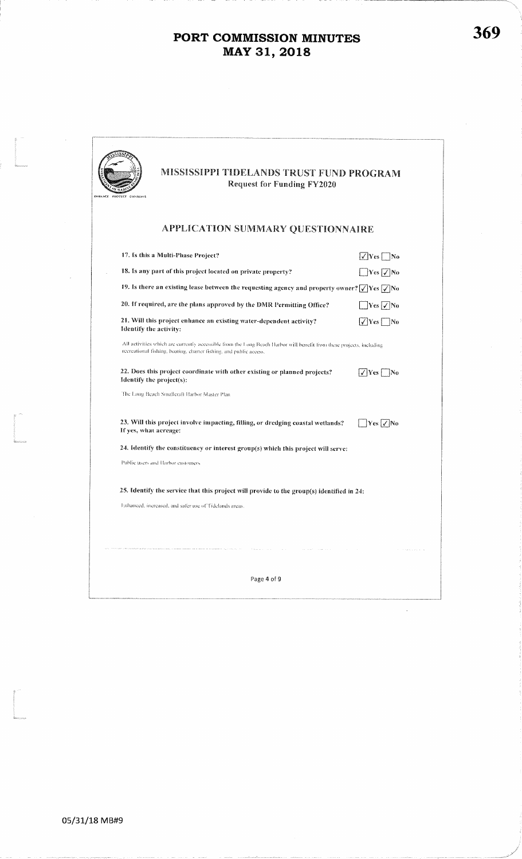| <b>APPLICATION SUMMARY QUESTIONNAIRE</b>                                                                                                                                                                                                                                                                                            | $\sqrt{Y}$ es $\Box$ No<br>$\Box$ Yes $\Box$ No |
|-------------------------------------------------------------------------------------------------------------------------------------------------------------------------------------------------------------------------------------------------------------------------------------------------------------------------------------|-------------------------------------------------|
| 17. Is this a Multi-Phase Project?                                                                                                                                                                                                                                                                                                  |                                                 |
| 18. Is any part of this project located on private property?<br>19. Is there an existing lease between the requesting agency and property owner? $\sqrt{\sqrt{}}$ Yes $\sqrt{ }$ No<br>20. If required, are the plans approved by the DMR Permitting Office?<br>21. Will this project enhance an existing water-dependent activity? |                                                 |
|                                                                                                                                                                                                                                                                                                                                     |                                                 |
|                                                                                                                                                                                                                                                                                                                                     |                                                 |
|                                                                                                                                                                                                                                                                                                                                     | $\exists$ Yes $\sqrt{\ }$ No                    |
| Identify the activity:                                                                                                                                                                                                                                                                                                              | $\sqrt{Y}$ es $\Box$ No                         |
| All activities which are currently accessible from the Long Beach Harbor will benefit from these projects, including<br>recreational fishing, boating, charter fishing, and public access.                                                                                                                                          |                                                 |
| 22. Does this project coordinate with other existing or planned projects?<br>Identify the project(s):                                                                                                                                                                                                                               | $\sqrt{Y}$ es   No                              |
| The Long Beach Smalleraft Harbor Master Plan                                                                                                                                                                                                                                                                                        |                                                 |
| 23. Will this project involve impacting, filling, or dredging coastal wetlands?<br>If yes, what acreage:                                                                                                                                                                                                                            | $\exists$ Yes $\lceil \sqrt{\;\;} \mathbb{N}$ o |
| 24. Identify the constituency or interest group(s) which this project will serve:                                                                                                                                                                                                                                                   |                                                 |
| Public users and Harbor customers                                                                                                                                                                                                                                                                                                   |                                                 |
| 25. Identify the service that this project will provide to the group(s) identified in 24:                                                                                                                                                                                                                                           |                                                 |
| Enhanced, increased, and safer use of Tidelands areas.                                                                                                                                                                                                                                                                              |                                                 |

 $\ddot{\phantom{a}}$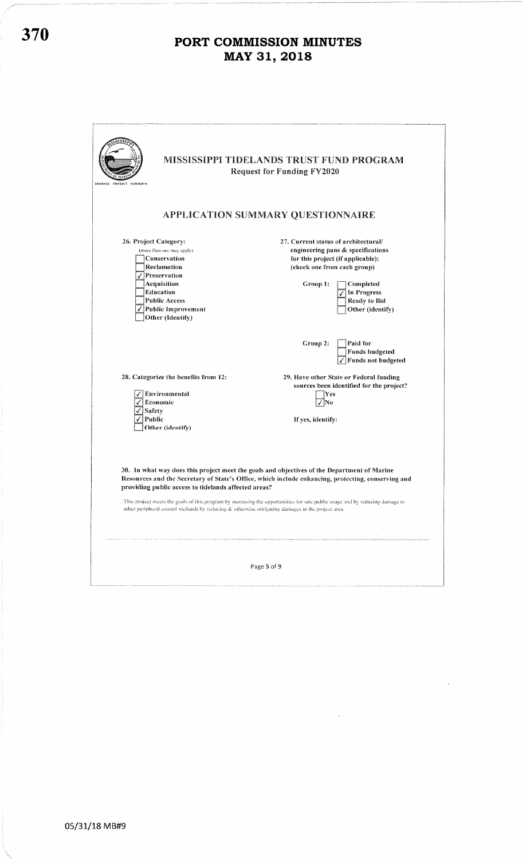| ENHANEE PROTECT CONSERVE                                                                          |                                                                                                                                                                                                                                                                                                                                   |  |  |  |
|---------------------------------------------------------------------------------------------------|-----------------------------------------------------------------------------------------------------------------------------------------------------------------------------------------------------------------------------------------------------------------------------------------------------------------------------------|--|--|--|
|                                                                                                   | APPLICATION SUMMARY QUESTIONNAIRE                                                                                                                                                                                                                                                                                                 |  |  |  |
| 26. Project Category:                                                                             | 27. Current status of architectural/                                                                                                                                                                                                                                                                                              |  |  |  |
| (more than one may apply).                                                                        | engineering pans & specifications                                                                                                                                                                                                                                                                                                 |  |  |  |
| Conservation                                                                                      | for this project (if applicable):                                                                                                                                                                                                                                                                                                 |  |  |  |
| Reclamation                                                                                       | (check one from each group)                                                                                                                                                                                                                                                                                                       |  |  |  |
| √ Preservation                                                                                    |                                                                                                                                                                                                                                                                                                                                   |  |  |  |
| Acquisition<br>Education                                                                          | Group 1:<br>Completed                                                                                                                                                                                                                                                                                                             |  |  |  |
| <b>Public Access</b>                                                                              | In Progress<br>Ready to Bid                                                                                                                                                                                                                                                                                                       |  |  |  |
| $\sqrt{}$ Public Improvement                                                                      | Other (identify)                                                                                                                                                                                                                                                                                                                  |  |  |  |
| Other (Identify)                                                                                  |                                                                                                                                                                                                                                                                                                                                   |  |  |  |
|                                                                                                   |                                                                                                                                                                                                                                                                                                                                   |  |  |  |
|                                                                                                   | Group 2:<br>Paid for                                                                                                                                                                                                                                                                                                              |  |  |  |
|                                                                                                   | <b>Funds budgeted</b>                                                                                                                                                                                                                                                                                                             |  |  |  |
|                                                                                                   | Funds not budgeted                                                                                                                                                                                                                                                                                                                |  |  |  |
| 28. Categorize the benefits from 12:                                                              | 29. Have other State or Federal funding                                                                                                                                                                                                                                                                                           |  |  |  |
|                                                                                                   | sources been identified for the project?                                                                                                                                                                                                                                                                                          |  |  |  |
| Environmental                                                                                     | Yes                                                                                                                                                                                                                                                                                                                               |  |  |  |
| $\sqrt{\phantom{a}}$ Economic                                                                     | lNo                                                                                                                                                                                                                                                                                                                               |  |  |  |
| $\sqrt{\sqrt{2}}$ Safety                                                                          |                                                                                                                                                                                                                                                                                                                                   |  |  |  |
| Public                                                                                            | If yes, identify:                                                                                                                                                                                                                                                                                                                 |  |  |  |
| Other (identify)                                                                                  |                                                                                                                                                                                                                                                                                                                                   |  |  |  |
| providing public access to tidelands affected areas?                                              | 30. In what way does this project meet the goals and objectives of the Department of Marine<br>Resources and the Secretary of State's Office, which include enhancing, protecting, conserving and<br>This project meets the goals of this program by increasing the opportunities for safe public usage and by reducing damage to |  |  |  |
| other peripheral coastal wetlands by reducing & otherwise mitigating damages in the project area. |                                                                                                                                                                                                                                                                                                                                   |  |  |  |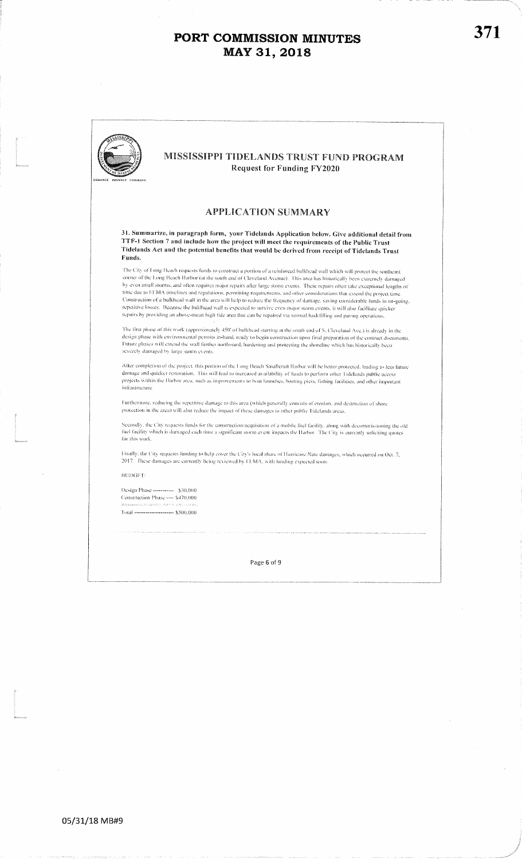

#### MISSISSIPPI TIDELANDS TRUST FUND PROGRAM **Request for Funding FY2020**

#### **APPLICATION SUMMARY**

31. Summarize, in paragraph form, your Tidelands Application below. Give additional detail from TTF-1 Section 7 and include how the project will meet the requirements of the Public Trust Tidelands Act and the potential benefits that would be derived from receipt of Tidelands Trust **Funds** 

The City of Long Beach requests funds to construct a portion of a reinforced bulkhead wall which will protect the southeast corner of the Long Beach Harbor (at the south end of Cleveland Avenue). This area has historically been extremely damaged by even small storms, and often requires major repairs after large storm events. These repairs often take exceptional lengths of<br>time due to FEMA timelines and regulations, permitting requirements, and other considerations Construction of a bulkhead wall in the area will help to reduce the frequency of damage, saving considerable funds in on-going, repetitive losses. Because the buklhead wall is expected to survive even major storm events, it will also facilitate quicker repairs by providing an above-mean high tide area that can be repaired via normal backfilling and paving operations.

The first phase of this work (approximately 450' of bulkhcad starting at the south end of S. Cleveland Ave.) is already in the design phase with environmental permits in-hand, ready to begin construction upon final preparation of the contract documents.<br>Future phases will extend the wall further northward, hardening and protecting the shoreline wh severely damaged by large storm events.

After completion of the project, this portion of the Long Beach Smallcraft Harbor will be better protected, leading to less future damage and quicker restoration. This will lead to increased availability of funds to perform other Tidelands public access projects within the Harbor area, such as improvements to boat launches, boating piers, fishing facilities, and other important infrastructure

Furthermore, reducing the repetitive damage to this area (which generally consists of erosion, and destruction of shore protection in the area) will also reduce the impact of these damages to other public Tidelands areas

Secondly, the City requests funds for the construction/acquisition of a mobile fuel facility, along with decommissioning the old fuel facility which is damaged each time a significant storm event impacts the Harbor. The City is eurrently soliciting quotes for this work

Finally, the City requests funding to help cover the City's local share of Hurricane Nate damages, which occurred on Oct. 7, 2017. These damages are currently being reviewed by FEMA, with funding expected soon.

BUDGET

Design Phase ------------ \$30,000 Construction Phase ---- \$470,000

Total ----------------------- \$500,000

Page 6 of 9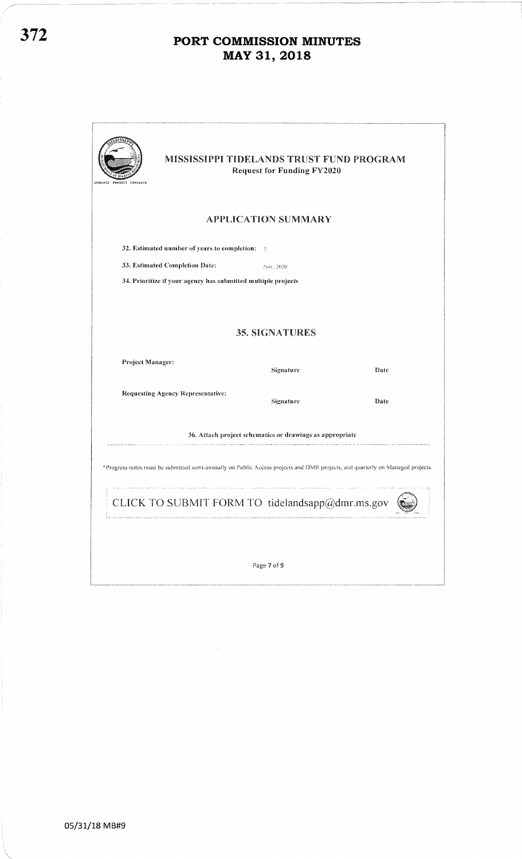| ENHANCE PROTECT CONSERVE                                                                                                       | <b>MISSISSIPPI TIDELANDS TRUST FUND PROGRAM</b><br><b>Request for Funding FY2020</b>                                                                                                                                              |      |
|--------------------------------------------------------------------------------------------------------------------------------|-----------------------------------------------------------------------------------------------------------------------------------------------------------------------------------------------------------------------------------|------|
|                                                                                                                                | <b>APPLICATION SUMMARY</b>                                                                                                                                                                                                        |      |
| 32. Estimated number of years to completion: 2                                                                                 |                                                                                                                                                                                                                                   |      |
| 33. Estimated Completion Date:                                                                                                 | Nov. 2020                                                                                                                                                                                                                         |      |
| 34. Prioritize if your agency has submitted multiple projects                                                                  |                                                                                                                                                                                                                                   |      |
|                                                                                                                                |                                                                                                                                                                                                                                   |      |
|                                                                                                                                |                                                                                                                                                                                                                                   |      |
|                                                                                                                                | <b>35. SIGNATURES</b>                                                                                                                                                                                                             |      |
| Project Manager:                                                                                                               | Signature                                                                                                                                                                                                                         | Date |
| Requesting Agency Representative:                                                                                              | Signature                                                                                                                                                                                                                         | Date |
|                                                                                                                                | 36. Attach project schematics or drawings as appropriate                                                                                                                                                                          |      |
| *Progress notes must be submitted semi-annually on Public Access projects and DMR projects, and quarterly on Managed projects. |                                                                                                                                                                                                                                   |      |
| CLICK TO SUBMIT FORM TO tidelandsapp@dmr.ms.gov                                                                                | .<br>The state to thing we provide the other than a contract the structure of the contract of the community of the Community of the Community of the Community of the Community of the Community of the Community of the Communit |      |
|                                                                                                                                |                                                                                                                                                                                                                                   |      |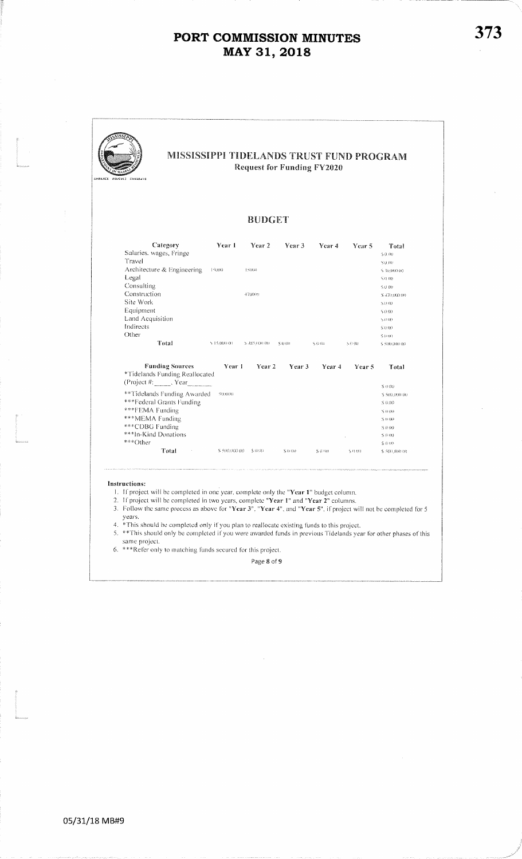

#### MISSISSIPPI TIDELANDS TRUST FUND PROGRAM **Request for Funding FY2020**

### **BUDGET**

| Category                                                 | Year 1      | Year 2       | Year 3 | Year 4  | Year 5           | Total           |
|----------------------------------------------------------|-------------|--------------|--------|---------|------------------|-----------------|
| Salaries, wages, Fringe<br>Travel                        |             |              |        |         |                  | <b>S (1.00)</b> |
|                                                          |             |              |        |         |                  | \$ 0.00         |
| Architecture & Engineering                               | 15000       | 15000        |        |         |                  | 5.30,000.00     |
| Legal                                                    |             |              |        |         |                  | \$0.00          |
| Consulting                                               |             |              |        |         |                  | 5.0.00          |
| Construction                                             |             | 470000       |        |         |                  | \$470,000.00    |
| Site Work                                                |             |              |        |         |                  | \$ 0.00         |
| Equipment                                                |             |              |        |         |                  | \$1.00          |
| Land Acquisition                                         |             |              |        |         |                  | 5000            |
| Indirects                                                |             |              |        |         |                  | \$ 0.00         |
| Other                                                    |             |              |        |         |                  | S(0,00)         |
| Total                                                    | N 15,000 00 | \$485,000.00 | 5000   | \$ 0.00 | 5.0 <sub>W</sub> | \$ 500,000.00   |
| <b>Funding Sources</b><br>*Tidelands Funding Reallocated | Year 1      | Year 2       | Year 3 | Year 4  | Year 5           | Total           |
| $(Project #: \_\_\_ \cdot Year \_\_\_\_$                 |             |              |        |         |                  | \$00            |
| **Tidelands Funding Awarded                              | 500000      |              |        |         |                  | \$ 500,000,00   |
| ***Federal Grants Funding                                |             |              |        |         |                  | \$0.00          |
| ***FEMA Funding                                          |             |              |        |         |                  | $S$ 0.00        |
| ***MEMA Funding                                          |             |              |        |         |                  | \$ 0.00         |
|                                                          |             |              |        |         |                  |                 |
|                                                          |             |              |        |         |                  |                 |
|                                                          |             |              |        |         |                  | \$ 0.00         |
| ***CDBG Funding<br>***In-Kind Donations<br>***Other      |             |              |        |         |                  | 5000<br>\$0.00  |

#### Instructions:

1. If project will be completed in one year, complete only the "Year 1" budget column.<br>2. If project will be completed in two years, complete "Year 1" and "Year 2" columns.<br>3. Follow the same process as above for "Year 3"

years.<br>
4. \*This should be completed only if you plan to reallocate existing funds to this project.<br>
5. \*\*This should only be completed if you were awarded funds in previous Tidelands year for other phases of this same project.<br>
6. \*\*\*Refer only to matching funds secured for this project.

Page 8 of 9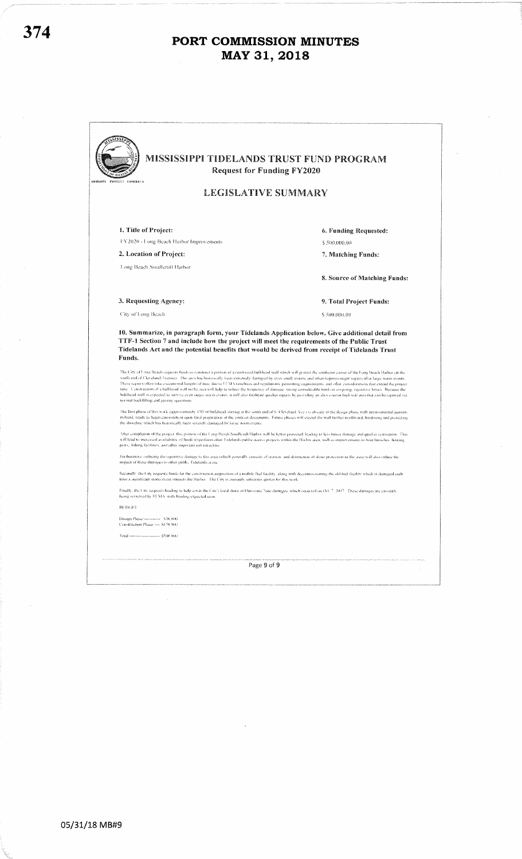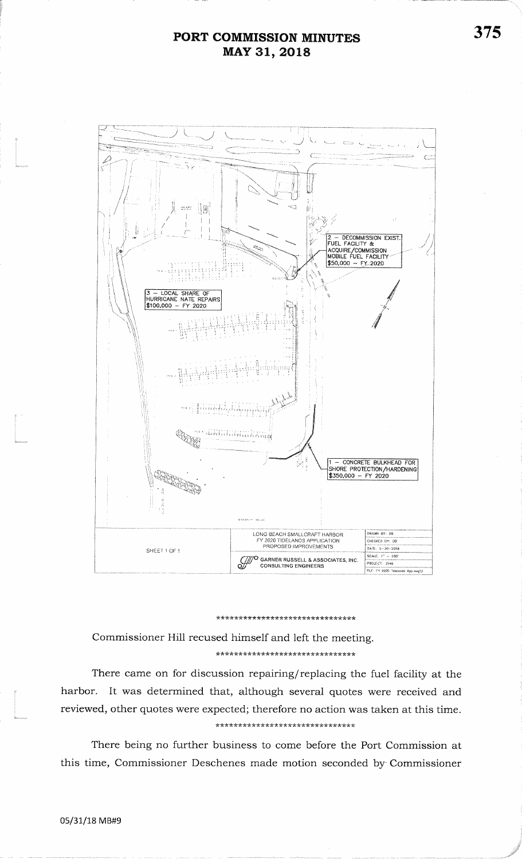

#### \*\*\*\*\*\*\*\*\*\*\*\*\*\*\*\*\*\*\*\*\*\*\*\*\*\*\*\*\*\*\*

Commissioner Hill recused himself and left the meeting. \*\*\*\*\*\*\*\*\*\*\*\*\*\*\*\*\*\*\*\*\*\*\*\*\*\*\*\*\*\*\*\*

There came on for discussion repairing/replacing the fuel facility at the harbor. It was determined that, although several quotes were received and reviewed, other quotes were expected; therefore no action was taken at this time. \*\*\*\*\*\*\*\*\*\*\*\*\*\*\*\*\*\*\*\*\*\*\*\*\*\*\*\*\*\*\*

There being no further business to come before the Port Commission at this time, Commissioner Deschenes made motion seconded by Commissioner